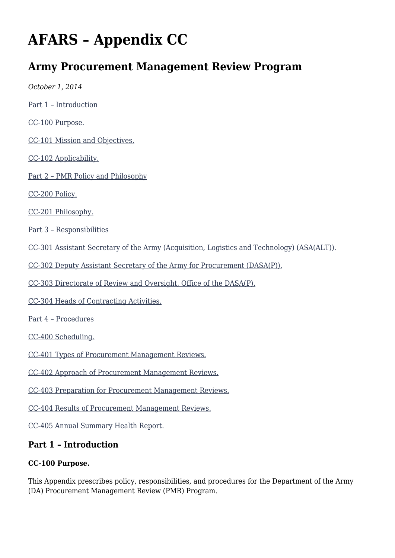# **AFARS – Appendix CC**

# **Army Procurement Management Review Program**

*October 1, 2014* [Part 1 – Introduction](#page--1-0) [CC-100 Purpose.](#page--1-0) [CC-101 Mission and Objectives.](#page--1-0) [CC-102 Applicability.](#page--1-0) [Part 2 – PMR Policy and Philosophy](#page--1-0) [CC-200 Policy.](#page--1-0) [CC-201 Philosophy.](#page--1-0) [Part 3 – Responsibilities](#page--1-0) [CC-301 Assistant Secretary of the Army \(Acquisition, Logistics and Technology\) \(ASA\(ALT\)\).](#page--1-0) [CC-302 Deputy Assistant Secretary of the Army for Procurement \(DASA\(P\)\).](#page--1-0) [CC-303 Directorate of Review and Oversight, Office of the DASA\(P\).](#page--1-0) [CC-304 Heads of Contracting Activities.](#page--1-0) [Part 4 – Procedures](#page--1-0) [CC-400 Scheduling.](#page--1-0) [CC-401 Types of Procurement Management Reviews.](#page--1-0) [CC-402 Approach of Procurement Management Reviews.](#page--1-0) [CC-403 Preparation for Procurement Management Reviews.](#page--1-0) [CC-404 Results of Procurement Management Reviews.](#page--1-0) [CC-405 Annual Summary Health Report.](#page--1-0) **Part 1 – Introduction**

#### **CC-100 Purpose.**

This Appendix prescribes policy, responsibilities, and procedures for the Department of the Army (DA) Procurement Management Review (PMR) Program.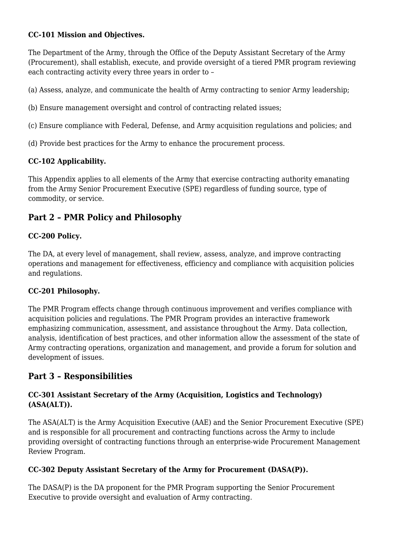#### **CC-101 Mission and Objectives.**

The Department of the Army, through the Office of the Deputy Assistant Secretary of the Army (Procurement), shall establish, execute, and provide oversight of a tiered PMR program reviewing each contracting activity every three years in order to –

(a) Assess, analyze, and communicate the health of Army contracting to senior Army leadership;

- (b) Ensure management oversight and control of contracting related issues;
- (c) Ensure compliance with Federal, Defense, and Army acquisition regulations and policies; and
- (d) Provide best practices for the Army to enhance the procurement process.

#### **CC-102 Applicability.**

This Appendix applies to all elements of the Army that exercise contracting authority emanating from the Army Senior Procurement Executive (SPE) regardless of funding source, type of commodity, or service.

# **Part 2 – PMR Policy and Philosophy**

#### **CC-200 Policy.**

The DA, at every level of management, shall review, assess, analyze, and improve contracting operations and management for effectiveness, efficiency and compliance with acquisition policies and regulations.

#### **CC-201 Philosophy.**

The PMR Program effects change through continuous improvement and verifies compliance with acquisition policies and regulations. The PMR Program provides an interactive framework emphasizing communication, assessment, and assistance throughout the Army. Data collection, analysis, identification of best practices, and other information allow the assessment of the state of Army contracting operations, organization and management, and provide a forum for solution and development of issues.

## **Part 3 – Responsibilities**

#### **CC-301 Assistant Secretary of the Army (Acquisition, Logistics and Technology) (ASA(ALT)).**

The ASA(ALT) is the Army Acquisition Executive (AAE) and the Senior Procurement Executive (SPE) and is responsible for all procurement and contracting functions across the Army to include providing oversight of contracting functions through an enterprise-wide Procurement Management Review Program.

#### **CC-302 Deputy Assistant Secretary of the Army for Procurement (DASA(P)).**

The DASA(P) is the DA proponent for the PMR Program supporting the Senior Procurement Executive to provide oversight and evaluation of Army contracting.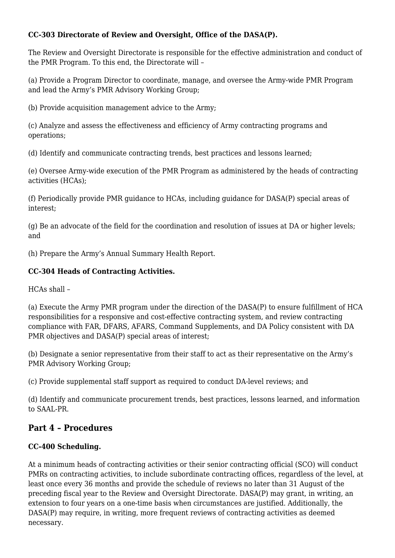#### **CC-303 Directorate of Review and Oversight, Office of the DASA(P).**

The Review and Oversight Directorate is responsible for the effective administration and conduct of the PMR Program. To this end, the Directorate will –

(a) Provide a Program Director to coordinate, manage, and oversee the Army-wide PMR Program and lead the Army's PMR Advisory Working Group;

(b) Provide acquisition management advice to the Army;

(c) Analyze and assess the effectiveness and efficiency of Army contracting programs and operations;

(d) Identify and communicate contracting trends, best practices and lessons learned;

(e) Oversee Army-wide execution of the PMR Program as administered by the heads of contracting activities (HCAs);

(f) Periodically provide PMR guidance to HCAs, including guidance for DASA(P) special areas of interest;

(g) Be an advocate of the field for the coordination and resolution of issues at DA or higher levels; and

(h) Prepare the Army's Annual Summary Health Report.

#### **CC-304 Heads of Contracting Activities.**

HCAs shall –

(a) Execute the Army PMR program under the direction of the DASA(P) to ensure fulfillment of HCA responsibilities for a responsive and cost-effective contracting system, and review contracting compliance with FAR, DFARS, AFARS, Command Supplements, and DA Policy consistent with DA PMR objectives and DASA(P) special areas of interest;

(b) Designate a senior representative from their staff to act as their representative on the Army's PMR Advisory Working Group;

(c) Provide supplemental staff support as required to conduct DA-level reviews; and

(d) Identify and communicate procurement trends, best practices, lessons learned, and information to SAAL-PR.

### **Part 4 – Procedures**

#### **CC-400 Scheduling.**

At a minimum heads of contracting activities or their senior contracting official (SCO) will conduct PMRs on contracting activities, to include subordinate contracting offices, regardless of the level, at least once every 36 months and provide the schedule of reviews no later than 31 August of the preceding fiscal year to the Review and Oversight Directorate. DASA(P) may grant, in writing, an extension to four years on a one-time basis when circumstances are justified. Additionally, the DASA(P) may require, in writing, more frequent reviews of contracting activities as deemed necessary.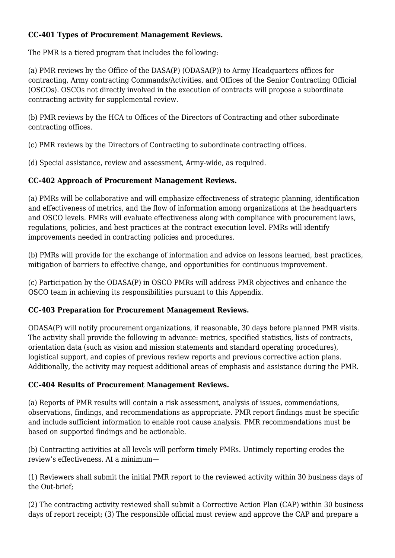#### **CC-401 Types of Procurement Management Reviews.**

The PMR is a tiered program that includes the following:

(a) PMR reviews by the Office of the DASA(P) (ODASA(P)) to Army Headquarters offices for contracting, Army contracting Commands/Activities, and Offices of the Senior Contracting Official (OSCOs). OSCOs not directly involved in the execution of contracts will propose a subordinate contracting activity for supplemental review.

(b) PMR reviews by the HCA to Offices of the Directors of Contracting and other subordinate contracting offices.

(c) PMR reviews by the Directors of Contracting to subordinate contracting offices.

(d) Special assistance, review and assessment, Army-wide, as required.

#### **CC-402 Approach of Procurement Management Reviews.**

(a) PMRs will be collaborative and will emphasize effectiveness of strategic planning, identification and effectiveness of metrics, and the flow of information among organizations at the headquarters and OSCO levels. PMRs will evaluate effectiveness along with compliance with procurement laws, regulations, policies, and best practices at the contract execution level. PMRs will identify improvements needed in contracting policies and procedures.

(b) PMRs will provide for the exchange of information and advice on lessons learned, best practices, mitigation of barriers to effective change, and opportunities for continuous improvement.

(c) Participation by the ODASA(P) in OSCO PMRs will address PMR objectives and enhance the OSCO team in achieving its responsibilities pursuant to this Appendix.

#### **CC-403 Preparation for Procurement Management Reviews.**

ODASA(P) will notify procurement organizations, if reasonable, 30 days before planned PMR visits. The activity shall provide the following in advance: metrics, specified statistics, lists of contracts, orientation data (such as vision and mission statements and standard operating procedures), logistical support, and copies of previous review reports and previous corrective action plans. Additionally, the activity may request additional areas of emphasis and assistance during the PMR.

#### **CC-404 Results of Procurement Management Reviews.**

(a) Reports of PMR results will contain a risk assessment, analysis of issues, commendations, observations, findings, and recommendations as appropriate. PMR report findings must be specific and include sufficient information to enable root cause analysis. PMR recommendations must be based on supported findings and be actionable.

(b) Contracting activities at all levels will perform timely PMRs. Untimely reporting erodes the review's effectiveness. At a minimum—

(1) Reviewers shall submit the initial PMR report to the reviewed activity within 30 business days of the Out-brief;

(2) The contracting activity reviewed shall submit a Corrective Action Plan (CAP) within 30 business days of report receipt; (3) The responsible official must review and approve the CAP and prepare a